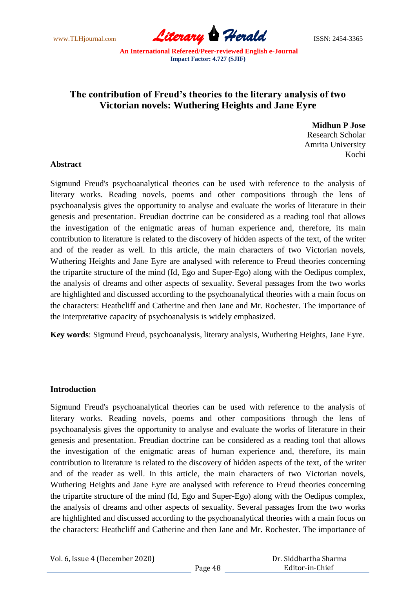www.TLHjournal.com **Literary Herald Herald** ISSN: 2454-3365

# **The contribution of Freud's theories to the literary analysis of two Victorian novels: Wuthering Heights and Jane Eyre**

**Midhun P Jose** Research Scholar Amrita University Kochi

### **Abstract**

Sigmund Freud's psychoanalytical theories can be used with reference to the analysis of literary works. Reading novels, poems and other compositions through the lens of psychoanalysis gives the opportunity to analyse and evaluate the works of literature in their genesis and presentation. Freudian doctrine can be considered as a reading tool that allows the investigation of the enigmatic areas of human experience and, therefore, its main contribution to literature is related to the discovery of hidden aspects of the text, of the writer and of the reader as well. In this article, the main characters of two Victorian novels, Wuthering Heights and Jane Eyre are analysed with reference to Freud theories concerning the tripartite structure of the mind (Id, Ego and Super-Ego) along with the Oedipus complex, the analysis of dreams and other aspects of sexuality. Several passages from the two works are highlighted and discussed according to the psychoanalytical theories with a main focus on the characters: Heathcliff and Catherine and then Jane and Mr. Rochester. The importance of the interpretative capacity of psychoanalysis is widely emphasized.

**Key words**: Sigmund Freud, psychoanalysis, literary analysis, Wuthering Heights, Jane Eyre.

## **Introduction**

Sigmund Freud's psychoanalytical theories can be used with reference to the analysis of literary works. Reading novels, poems and other compositions through the lens of psychoanalysis gives the opportunity to analyse and evaluate the works of literature in their genesis and presentation. Freudian doctrine can be considered as a reading tool that allows the investigation of the enigmatic areas of human experience and, therefore, its main contribution to literature is related to the discovery of hidden aspects of the text, of the writer and of the reader as well. In this article, the main characters of two Victorian novels, Wuthering Heights and Jane Eyre are analysed with reference to Freud theories concerning the tripartite structure of the mind (Id, Ego and Super-Ego) along with the Oedipus complex, the analysis of dreams and other aspects of sexuality. Several passages from the two works are highlighted and discussed according to the psychoanalytical theories with a main focus on the characters: Heathcliff and Catherine and then Jane and Mr. Rochester. The importance of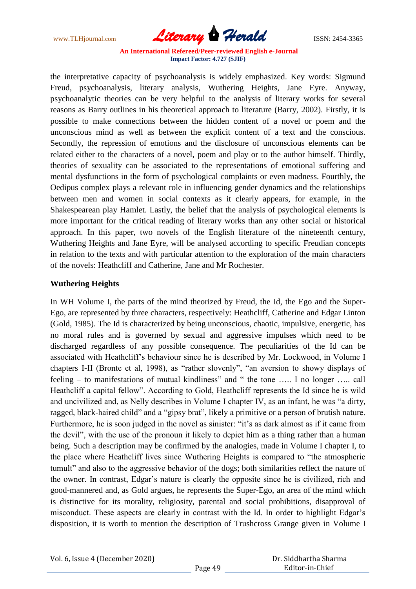www.TLHjournal.com **Literary Herald Herald** ISSN: 2454-3365

the interpretative capacity of psychoanalysis is widely emphasized. Key words: Sigmund Freud, psychoanalysis, literary analysis, Wuthering Heights, Jane Eyre. Anyway, psychoanalytic theories can be very helpful to the analysis of literary works for several reasons as Barry outlines in his theoretical approach to literature (Barry, 2002). Firstly, it is possible to make connections between the hidden content of a novel or poem and the unconscious mind as well as between the explicit content of a text and the conscious. Secondly, the repression of emotions and the disclosure of unconscious elements can be related either to the characters of a novel, poem and play or to the author himself. Thirdly, theories of sexuality can be associated to the representations of emotional suffering and mental dysfunctions in the form of psychological complaints or even madness. Fourthly, the Oedipus complex plays a relevant role in influencing gender dynamics and the relationships between men and women in social contexts as it clearly appears, for example, in the Shakespearean play Hamlet. Lastly, the belief that the analysis of psychological elements is more important for the critical reading of literary works than any other social or historical approach. In this paper, two novels of the English literature of the nineteenth century, Wuthering Heights and Jane Eyre, will be analysed according to specific Freudian concepts in relation to the texts and with particular attention to the exploration of the main characters of the novels: Heathcliff and Catherine, Jane and Mr Rochester.

## **Wuthering Heights**

In WH Volume I, the parts of the mind theorized by Freud, the Id, the Ego and the Super-Ego, are represented by three characters, respectively: Heathcliff, Catherine and Edgar Linton (Gold, 1985). The Id is characterized by being unconscious, chaotic, impulsive, energetic, has no moral rules and is governed by sexual and aggressive impulses which need to be discharged regardless of any possible consequence. The peculiarities of the Id can be associated with Heathcliff's behaviour since he is described by Mr. Lockwood, in Volume I chapters I-II (Bronte et al, 1998), as "rather slovenly", "an aversion to showy displays of feeling – to manifestations of mutual kindliness" and " the tone ….. I no longer ….. call Heathcliff a capital fellow". According to Gold, Heathcliff represents the Id since he is wild and uncivilized and, as Nelly describes in Volume I chapter IV, as an infant, he was "a dirty, ragged, black-haired child" and a "gipsy brat", likely a primitive or a person of brutish nature. Furthermore, he is soon judged in the novel as sinister: "it's as dark almost as if it came from the devil", with the use of the pronoun it likely to depict him as a thing rather than a human being. Such a description may be confirmed by the analogies, made in Volume I chapter I, to the place where Heathcliff lives since Wuthering Heights is compared to "the atmospheric tumult" and also to the aggressive behavior of the dogs; both similarities reflect the nature of the owner. In contrast, Edgar's nature is clearly the opposite since he is civilized, rich and good-mannered and, as Gold argues, he represents the Super-Ego, an area of the mind which is distinctive for its morality, religiosity, parental and social prohibitions, disapproval of misconduct. These aspects are clearly in contrast with the Id. In order to highlight Edgar's disposition, it is worth to mention the description of Trushcross Grange given in Volume I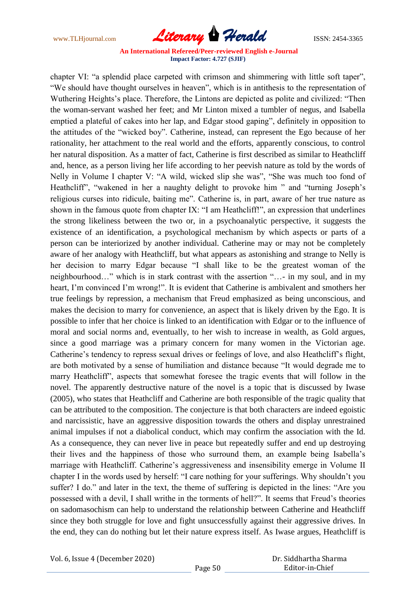www.TLHjournal.com **Literary Herald** ISSN: 2454-3365

chapter VI: "a splendid place carpeted with crimson and shimmering with little soft taper", "We should have thought ourselves in heaven", which is in antithesis to the representation of Wuthering Heights's place. Therefore, the Lintons are depicted as polite and civilized: "Then the woman-servant washed her feet; and Mr Linton mixed a tumbler of negus, and Isabella emptied a plateful of cakes into her lap, and Edgar stood gaping", definitely in opposition to the attitudes of the "wicked boy". Catherine, instead, can represent the Ego because of her rationality, her attachment to the real world and the efforts, apparently conscious, to control her natural disposition. As a matter of fact, Catherine is first described as similar to Heathcliff and, hence, as a person living her life according to her peevish nature as told by the words of Nelly in Volume I chapter V: "A wild, wicked slip she was", "She was much too fond of Heathcliff", "wakened in her a naughty delight to provoke him " and "turning Joseph's religious curses into ridicule, baiting me". Catherine is, in part, aware of her true nature as shown in the famous quote from chapter IX: "I am Heathcliff!", an expression that underlines the strong likeliness between the two or, in a psychoanalytic perspective, it suggests the existence of an identification, a psychological mechanism by which aspects or parts of a person can be interiorized by another individual. Catherine may or may not be completely aware of her analogy with Heathcliff, but what appears as astonishing and strange to Nelly is her decision to marry Edgar because "I shall like to be the greatest woman of the neighbourhood…" which is in stark contrast with the assertion "…- in my soul, and in my heart, I'm convinced I'm wrong!". It is evident that Catherine is ambivalent and smothers her true feelings by repression, a mechanism that Freud emphasized as being unconscious, and makes the decision to marry for convenience, an aspect that is likely driven by the Ego. It is possible to infer that her choice is linked to an identification with Edgar or to the influence of moral and social norms and, eventually, to her wish to increase in wealth, as Gold argues, since a good marriage was a primary concern for many women in the Victorian age. Catherine's tendency to repress sexual drives or feelings of love, and also Heathcliff's flight, are both motivated by a sense of humiliation and distance because "It would degrade me to marry Heathcliff", aspects that somewhat foresee the tragic events that will follow in the novel. The apparently destructive nature of the novel is a topic that is discussed by Iwase (2005), who states that Heathcliff and Catherine are both responsible of the tragic quality that can be attributed to the composition. The conjecture is that both characters are indeed egoistic and narcissistic, have an aggressive disposition towards the others and display unrestrained animal impulses if not a diabolical conduct, which may confirm the association with the Id. As a consequence, they can never live in peace but repeatedly suffer and end up destroying their lives and the happiness of those who surround them, an example being Isabella's marriage with Heathcliff. Catherine's aggressiveness and insensibility emerge in Volume II chapter I in the words used by herself: "I care nothing for your sufferings. Why shouldn't you suffer? I do." and later in the text, the theme of suffering is depicted in the lines: "Are you possessed with a devil, I shall writhe in the torments of hell?". It seems that Freud's theories on sadomasochism can help to understand the relationship between Catherine and Heathcliff since they both struggle for love and fight unsuccessfully against their aggressive drives. In the end, they can do nothing but let their nature express itself. As Iwase argues, Heathcliff is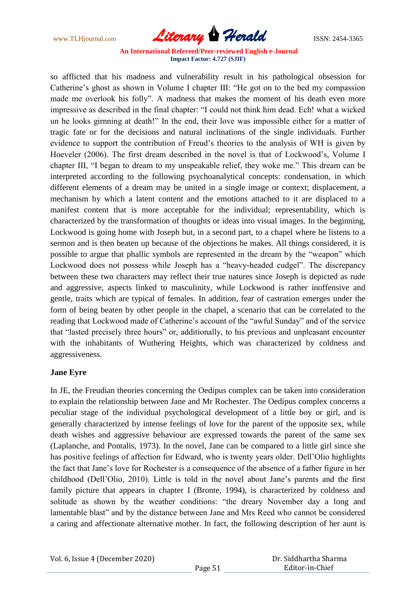www.TLHjournal.com **Literary Herald** ISSN: 2454-3365

so afflicted that his madness and vulnerability result in his pathological obsession for Catherine's ghost as shown in Volume I chapter III: "He got on to the bed my compassion made me overlook his folly". A madness that makes the moment of his death even more impressive as described in the final chapter: "I could not think him dead. Ech! what a wicked un he looks girnning at death!" In the end, their love was impossible either for a matter of tragic fate or for the decisions and natural inclinations of the single individuals. Further evidence to support the contribution of Freud's theories to the analysis of WH is given by Hoeveler (2006). The first dream described in the novel is that of Lockwood's, Volume I chapter III, "I began to dream to my unspeakable relief, they woke me." This dream can be interpreted according to the following psychoanalytical concepts: condensation, in which different elements of a dream may be united in a single image or context; displacement, a mechanism by which a latent content and the emotions attached to it are displaced to a manifest content that is more acceptable for the individual; representability, which is characterized by the transformation of thoughts or ideas into visual images. In the beginning, Lockwood is going home with Joseph but, in a second part, to a chapel where he listens to a sermon and is then beaten up because of the objections he makes. All things considered, it is possible to argue that phallic symbols are represented in the dream by the "weapon" which Lockwood does not possess while Joseph has a "heavy-headed cudgel". The discrepancy between these two characters may reflect their true natures since Joseph is depicted as rude and aggressive, aspects linked to masculinity, while Lockwood is rather inoffensive and gentle, traits which are typical of females. In addition, fear of castration emerges under the form of being beaten by other people in the chapel, a scenario that can be correlated to the reading that Lockwood made of Catherine's account of the "awful Sunday" and of the service that "lasted precisely three hours" or, additionally, to his previous and unpleasant encounter with the inhabitants of Wuthering Heights, which was characterized by coldness and aggressiveness.

## **Jane Eyre**

In JE, the Freudian theories concerning the Oedipus complex can be taken into consideration to explain the relationship between Jane and Mr Rochester. The Oedipus complex concerns a peculiar stage of the individual psychological development of a little boy or girl, and is generally characterized by intense feelings of love for the parent of the opposite sex, while death wishes and aggressive behaviour are expressed towards the parent of the same sex (Laplanche, and Pontalis, 1973). In the novel, Jane can be compared to a little girl since she has positive feelings of affection for Edward, who is twenty years older. Dell'Olio highlights the fact that Jane's love for Rochester is a consequence of the absence of a father figure in her childhood (Dell'Olio, 2010). Little is told in the novel about Jane's parents and the first family picture that appears in chapter I (Bronte, 1994), is characterized by coldness and solitude as shown by the weather conditions: "the dreary November day a long and lamentable blast" and by the distance between Jane and Mrs Reed who cannot be considered a caring and affectionate alternative mother. In fact, the following description of her aunt is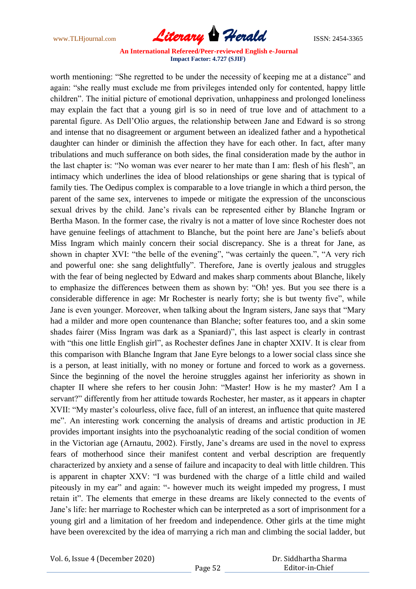www.TLHjournal.com **Literary Herald Herald ISSN: 2454-3365** 

worth mentioning: "She regretted to be under the necessity of keeping me at a distance" and again: "she really must exclude me from privileges intended only for contented, happy little children". The initial picture of emotional deprivation, unhappiness and prolonged loneliness may explain the fact that a young girl is so in need of true love and of attachment to a parental figure. As Dell'Olio argues, the relationship between Jane and Edward is so strong and intense that no disagreement or argument between an idealized father and a hypothetical daughter can hinder or diminish the affection they have for each other. In fact, after many tribulations and much sufferance on both sides, the final consideration made by the author in the last chapter is: "No woman was ever nearer to her mate than I am: flesh of his flesh", an intimacy which underlines the idea of blood relationships or gene sharing that is typical of family ties. The Oedipus complex is comparable to a love triangle in which a third person, the parent of the same sex, intervenes to impede or mitigate the expression of the unconscious sexual drives by the child. Jane's rivals can be represented either by Blanche Ingram or Bertha Mason. In the former case, the rivalry is not a matter of love since Rochester does not have genuine feelings of attachment to Blanche, but the point here are Jane's beliefs about Miss Ingram which mainly concern their social discrepancy. She is a threat for Jane, as shown in chapter XVI: "the belle of the evening", "was certainly the queen.", "A very rich and powerful one: she sang delightfully". Therefore, Jane is overtly jealous and struggles with the fear of being neglected by Edward and makes sharp comments about Blanche, likely to emphasize the differences between them as shown by: "Oh! yes. But you see there is a considerable difference in age: Mr Rochester is nearly forty; she is but twenty five", while Jane is even younger. Moreover, when talking about the Ingram sisters, Jane says that "Mary had a milder and more open countenance than Blanche; softer features too, and a skin some shades fairer (Miss Ingram was dark as a Spaniard)", this last aspect is clearly in contrast with "this one little English girl", as Rochester defines Jane in chapter XXIV. It is clear from this comparison with Blanche Ingram that Jane Eyre belongs to a lower social class since she is a person, at least initially, with no money or fortune and forced to work as a governess. Since the beginning of the novel the heroine struggles against her inferiority as shown in chapter II where she refers to her cousin John: "Master! How is he my master? Am I a servant?" differently from her attitude towards Rochester, her master, as it appears in chapter XVII: "My master's colourless, olive face, full of an interest, an influence that quite mastered me". An interesting work concerning the analysis of dreams and artistic production in JE provides important insights into the psychoanalytic reading of the social condition of women in the Victorian age (Arnautu, 2002). Firstly, Jane's dreams are used in the novel to express fears of motherhood since their manifest content and verbal description are frequently characterized by anxiety and a sense of failure and incapacity to deal with little children. This is apparent in chapter XXV: "I was burdened with the charge of a little child and wailed piteously in my ear" and again: "- however much its weight impeded my progress, I must retain it". The elements that emerge in these dreams are likely connected to the events of Jane's life: her marriage to Rochester which can be interpreted as a sort of imprisonment for a young girl and a limitation of her freedom and independence. Other girls at the time might have been overexcited by the idea of marrying a rich man and climbing the social ladder, but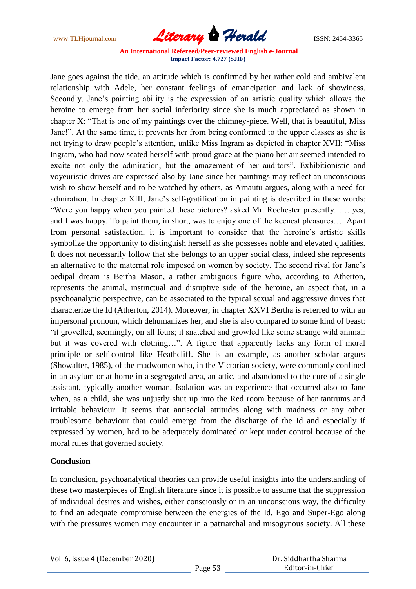www.TLHjournal.com **Literary Herald** ISSN: 2454-3365

Jane goes against the tide, an attitude which is confirmed by her rather cold and ambivalent relationship with Adele, her constant feelings of emancipation and lack of showiness. Secondly, Jane's painting ability is the expression of an artistic quality which allows the heroine to emerge from her social inferiority since she is much appreciated as shown in chapter X: "That is one of my paintings over the chimney-piece. Well, that is beautiful, Miss Jane!". At the same time, it prevents her from being conformed to the upper classes as she is not trying to draw people's attention, unlike Miss Ingram as depicted in chapter XVII: "Miss Ingram, who had now seated herself with proud grace at the piano her air seemed intended to excite not only the admiration, but the amazement of her auditors". Exhibitionistic and voyeuristic drives are expressed also by Jane since her paintings may reflect an unconscious wish to show herself and to be watched by others, as Arnautu argues, along with a need for admiration. In chapter XIII, Jane's self-gratification in painting is described in these words: "Were you happy when you painted these pictures? asked Mr. Rochester presently. …. yes, and I was happy. To paint them, in short, was to enjoy one of the keenest pleasures…. Apart from personal satisfaction, it is important to consider that the heroine's artistic skills symbolize the opportunity to distinguish herself as she possesses noble and elevated qualities. It does not necessarily follow that she belongs to an upper social class, indeed she represents an alternative to the maternal role imposed on women by society. The second rival for Jane's oedipal dream is Bertha Mason, a rather ambiguous figure who, according to Atherton, represents the animal, instinctual and disruptive side of the heroine, an aspect that, in a psychoanalytic perspective, can be associated to the typical sexual and aggressive drives that characterize the Id (Atherton, 2014). Moreover, in chapter XXVI Bertha is referred to with an impersonal pronoun, which dehumanizes her, and she is also compared to some kind of beast: "it grovelled, seemingly, on all fours; it snatched and growled like some strange wild animal: but it was covered with clothing…". A figure that apparently lacks any form of moral principle or self-control like Heathcliff. She is an example, as another scholar argues (Showalter, 1985), of the madwomen who, in the Victorian society, were commonly confined in an asylum or at home in a segregated area, an attic, and abandoned to the cure of a single assistant, typically another woman. Isolation was an experience that occurred also to Jane when, as a child, she was unjustly shut up into the Red room because of her tantrums and irritable behaviour. It seems that antisocial attitudes along with madness or any other troublesome behaviour that could emerge from the discharge of the Id and especially if expressed by women, had to be adequately dominated or kept under control because of the moral rules that governed society.

## **Conclusion**

In conclusion, psychoanalytical theories can provide useful insights into the understanding of these two masterpieces of English literature since it is possible to assume that the suppression of individual desires and wishes, either consciously or in an unconscious way, the difficulty to find an adequate compromise between the energies of the Id, Ego and Super-Ego along with the pressures women may encounter in a patriarchal and misogynous society. All these